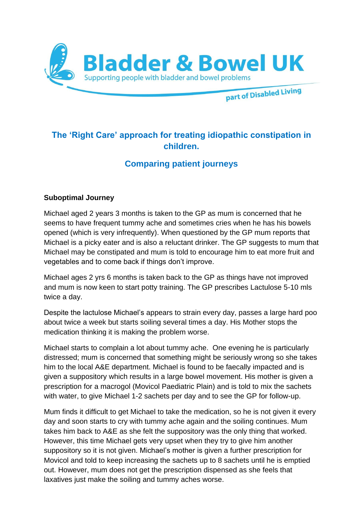

# **The 'Right Care' approach for treating idiopathic constipation in children.**

## **Comparing patient journeys**

### **Suboptimal Journey**

Michael aged 2 years 3 months is taken to the GP as mum is concerned that he seems to have frequent tummy ache and sometimes cries when he has his bowels opened (which is very infrequently). When questioned by the GP mum reports that Michael is a picky eater and is also a reluctant drinker. The GP suggests to mum that Michael may be constipated and mum is told to encourage him to eat more fruit and vegetables and to come back if things don't improve.

Michael ages 2 yrs 6 months is taken back to the GP as things have not improved and mum is now keen to start potty training. The GP prescribes Lactulose 5-10 mls twice a day.

Despite the lactulose Michael's appears to strain every day, passes a large hard poo about twice a week but starts soiling several times a day. His Mother stops the medication thinking it is making the problem worse.

Michael starts to complain a lot about tummy ache. One evening he is particularly distressed; mum is concerned that something might be seriously wrong so she takes him to the local A&E department. Michael is found to be faecally impacted and is given a suppository which results in a large bowel movement. His mother is given a prescription for a macrogol (Movicol Paediatric Plain) and is told to mix the sachets with water, to give Michael 1-2 sachets per day and to see the GP for follow-up.

Mum finds it difficult to get Michael to take the medication, so he is not given it every day and soon starts to cry with tummy ache again and the soiling continues. Mum takes him back to A&E as she felt the suppository was the only thing that worked. However, this time Michael gets very upset when they try to give him another suppository so it is not given. Michael's mother is given a further prescription for Movicol and told to keep increasing the sachets up to 8 sachets until he is emptied out. However, mum does not get the prescription dispensed as she feels that laxatives just make the soiling and tummy aches worse.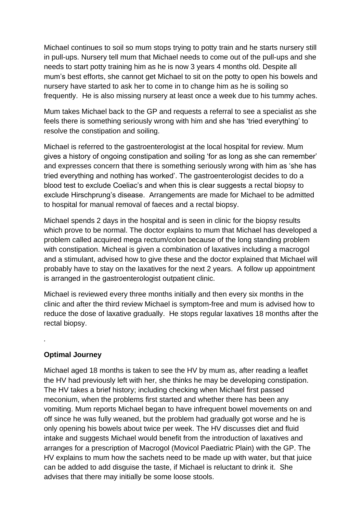Michael continues to soil so mum stops trying to potty train and he starts nursery still in pull-ups. Nursery tell mum that Michael needs to come out of the pull-ups and she needs to start potty training him as he is now 3 years 4 months old. Despite all mum's best efforts, she cannot get Michael to sit on the potty to open his bowels and nursery have started to ask her to come in to change him as he is soiling so frequently. He is also missing nursery at least once a week due to his tummy aches.

Mum takes Michael back to the GP and requests a referral to see a specialist as she feels there is something seriously wrong with him and she has 'tried everything' to resolve the constipation and soiling.

Michael is referred to the gastroenterologist at the local hospital for review. Mum gives a history of ongoing constipation and soiling 'for as long as she can remember' and expresses concern that there is something seriously wrong with him as 'she has tried everything and nothing has worked'. The gastroenterologist decides to do a blood test to exclude Coeliac's and when this is clear suggests a rectal biopsy to exclude Hirschprung's disease. Arrangements are made for Michael to be admitted to hospital for manual removal of faeces and a rectal biopsy.

Michael spends 2 days in the hospital and is seen in clinic for the biopsy results which prove to be normal. The doctor explains to mum that Michael has developed a problem called acquired mega rectum/colon because of the long standing problem with constipation. Micheal is given a combination of laxatives including a macrogol and a stimulant, advised how to give these and the doctor explained that Michael will probably have to stay on the laxatives for the next 2 years. A follow up appointment is arranged in the gastroenterologist outpatient clinic.

Michael is reviewed every three months initially and then every six months in the clinic and after the third review Michael is symptom-free and mum is advised how to reduce the dose of laxative gradually. He stops regular laxatives 18 months after the rectal biopsy.

**Optimal Journey**

*.*

Michael aged 18 months is taken to see the HV by mum as, after reading a leaflet the HV had previously left with her, she thinks he may be developing constipation. The HV takes a brief history; including checking when Michael first passed meconium, when the problems first started and whether there has been any vomiting. Mum reports Michael began to have infrequent bowel movements on and off since he was fully weaned, but the problem had gradually got worse and he is only opening his bowels about twice per week. The HV discusses diet and fluid intake and suggests Michael would benefit from the introduction of laxatives and arranges for a prescription of Macrogol (Movicol Paediatric Plain) with the GP. The HV explains to mum how the sachets need to be made up with water, but that juice can be added to add disguise the taste, if Michael is reluctant to drink it. She advises that there may initially be some loose stools.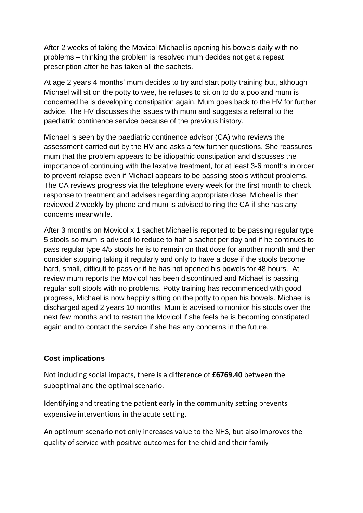After 2 weeks of taking the Movicol Michael is opening his bowels daily with no problems – thinking the problem is resolved mum decides not get a repeat prescription after he has taken all the sachets.

At age 2 years 4 months' mum decides to try and start potty training but, although Michael will sit on the potty to wee, he refuses to sit on to do a poo and mum is concerned he is developing constipation again. Mum goes back to the HV for further advice. The HV discusses the issues with mum and suggests a referral to the paediatric continence service because of the previous history.

Michael is seen by the paediatric continence advisor (CA) who reviews the assessment carried out by the HV and asks a few further questions. She reassures mum that the problem appears to be idiopathic constipation and discusses the importance of continuing with the laxative treatment, for at least 3-6 months in order to prevent relapse even if Michael appears to be passing stools without problems. The CA reviews progress via the telephone every week for the first month to check response to treatment and advises regarding appropriate dose. Micheal is then reviewed 2 weekly by phone and mum is advised to ring the CA if she has any concerns meanwhile.

After 3 months on Movicol x 1 sachet Michael is reported to be passing regular type 5 stools so mum is advised to reduce to half a sachet per day and if he continues to pass regular type 4/5 stools he is to remain on that dose for another month and then consider stopping taking it regularly and only to have a dose if the stools become hard, small, difficult to pass or if he has not opened his bowels for 48 hours. At review mum reports the Movicol has been discontinued and Michael is passing regular soft stools with no problems. Potty training has recommenced with good progress, Michael is now happily sitting on the potty to open his bowels. Michael is discharged aged 2 years 10 months. Mum is advised to monitor his stools over the next few months and to restart the Movicol if she feels he is becoming constipated again and to contact the service if she has any concerns in the future.

### **Cost implications**

Not including social impacts, there is a difference of **£6769.40** between the suboptimal and the optimal scenario.

Identifying and treating the patient early in the community setting prevents expensive interventions in the acute setting.

An optimum scenario not only increases value to the NHS, but also improves the quality of service with positive outcomes for the child and their family